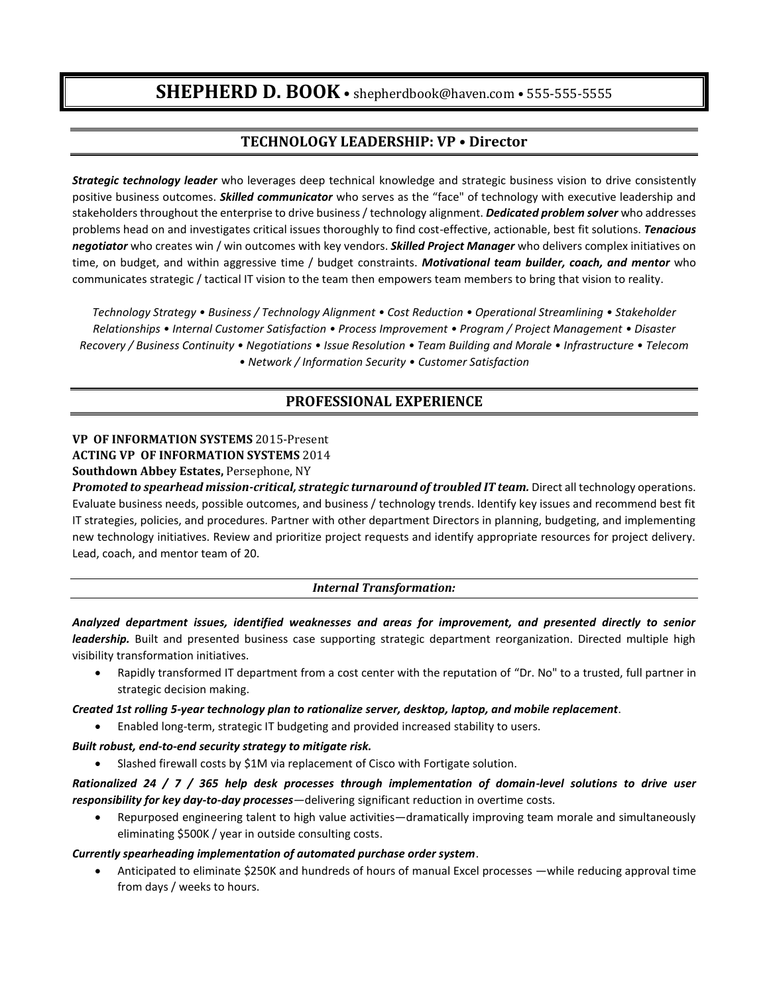# **SHEPHERD D. BOOK** • shepherdbook@haven.com • 555-555-5555

# **TECHNOLOGY LEADERSHIP: VP • Director**

*Strategic technology leader* who leverages deep technical knowledge and strategic business vision to drive consistently positive business outcomes. *Skilled communicator* who serves as the "face" of technology with executive leadership and stakeholders throughout the enterprise to drive business / technology alignment. *Dedicated problem solver* who addresses problems head on and investigates critical issues thoroughly to find cost-effective, actionable, best fit solutions. *Tenacious negotiator* who creates win / win outcomes with key vendors. *Skilled Project Manager* who delivers complex initiatives on time, on budget, and within aggressive time / budget constraints. *Motivational team builder, coach, and mentor* who communicates strategic / tactical IT vision to the team then empowers team members to bring that vision to reality.

*Technology Strategy • Business / Technology Alignment • Cost Reduction • Operational Streamlining • Stakeholder Relationships • Internal Customer Satisfaction • Process Improvement • Program / Project Management • Disaster Recovery / Business Continuity • Negotiations • Issue Resolution • Team Building and Morale • Infrastructure • Telecom • Network / Information Security • Customer Satisfaction*

# **PROFESSIONAL EXPERIENCE**

# **VP OF INFORMATION SYSTEMS** 2015-Present **ACTING VP OF INFORMATION SYSTEMS** 2014

### **Southdown Abbey Estates,** Persephone, NY

*Promoted to spearhead mission-critical, strategic turnaround of troubled IT team. Direct all technology operations.* Evaluate business needs, possible outcomes, and business / technology trends. Identify key issues and recommend best fit IT strategies, policies, and procedures. Partner with other department Directors in planning, budgeting, and implementing new technology initiatives. Review and prioritize project requests and identify appropriate resources for project delivery. Lead, coach, and mentor team of 20.

#### *Internal Transformation:*

*Analyzed department issues, identified weaknesses and areas for improvement, and presented directly to senior leadership.* Built and presented business case supporting strategic department reorganization. Directed multiple high visibility transformation initiatives.

 Rapidly transformed IT department from a cost center with the reputation of "Dr. No" to a trusted, full partner in strategic decision making.

#### *Created 1st rolling 5-year technology plan to rationalize server, desktop, laptop, and mobile replacement*.

Enabled long-term, strategic IT budgeting and provided increased stability to users.

#### *Built robust, end-to-end security strategy to mitigate risk.*

Slashed firewall costs by \$1M via replacement of Cisco with Fortigate solution.

*Rationalized 24 / 7 / 365 help desk processes through implementation of domain-level solutions to drive user responsibility for key day-to-day processes—*delivering significant reduction in overtime costs.

 Repurposed engineering talent to high value activities—dramatically improving team morale and simultaneously eliminating \$500K / year in outside consulting costs.

#### *Currently spearheading implementation of automated purchase order system*.

 Anticipated to eliminate \$250K and hundreds of hours of manual Excel processes —while reducing approval time from days / weeks to hours.